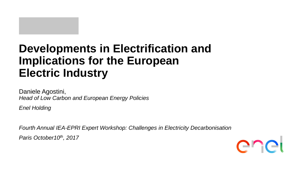# **Developments in Electrification and Implications for the European Electric Industry**

Daniele Agostini, *Head of Low Carbon and European Energy Policies*

*Enel Holding* 

*Fourth Annual IEA-EPRI Expert Workshop: Challenges in Electricity Decarbonisation Paris October10th, 2017*

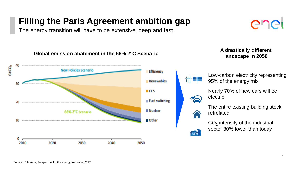### **Filling the Paris Agreement ambition gap**

The energy transition will have to be extensive, deep and fast

### **Global emission abatement in the 66% 2°C Scenario landscape in 2050** Gt CO<sub>2</sub> **New Policies Scenario Efficiency** Low-carbon electricity representing 95% of the energy mix Renewables m Nearly 70% of new cars will be  $\blacksquare$  CCS electric Fuel switching 70 The entire existing building stock **Nuclear** 66% 2°C Scenario retrofitted  $\blacksquare$  Other  $CO<sub>2</sub>$  intensity of the industrial sector 80% lower than today **The Second** D 2020 2030 2040 2010 2050

# er

**A drastically different**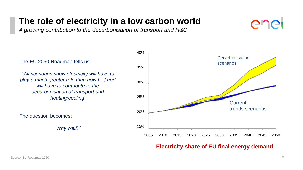### **The role of electricity in a low carbon world**

*A growing contribution to the decarbonisation of transport and H&C*



### The EU 2050 Roadmap tells us:

*' All scenarios show electricity will have to play a much greater role than now […] and will have to contribute to the decarbonisation of transport and heating/cooling'*

The question becomes:

*"Why wait?"*



### **Electricity share of EU final energy demand**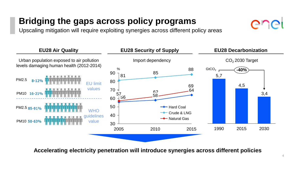## **Bridging the gaps across policy programs**

Upscaling mitigation will require exploiting synergies across different policy areas



**Accelerating electricity penetration will introduce synergies across different policies**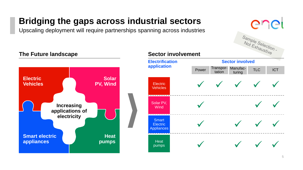## **Bridging the gaps across industrial sectors**

Upscaling deployment will require partnerships spanning across industries



### **The Future landscape <b>Sector** involvement **Electrification Sector involved application** Power Transpor- Manufaclanurac- TLC ICT tation **Electric Solar**   $\checkmark$  $\sqrt{\phantom{a}}$  $\sqrt{\phantom{a}}$ **Vehicles PV, Wind Electric Vehicles** --------- $\checkmark$ Solar PV,  $\checkmark$ **Increasing Wind applications of**  -------**electricity Smart**  $\checkmark$  $\checkmark$  $\checkmark$  $\checkmark$ **Electric Appliances Smart electric Heat appliances Heat pumps**  $\checkmark$  $\checkmark$  $\checkmark$ pumps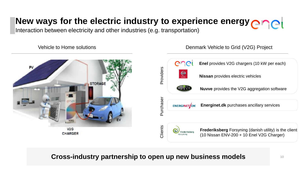## **New ways for the electric industry to experience energy <b>encel**

Interaction between electricity and other industries (e.g. transportation)

Vehicle to Home solutions



Denmark Vehicle to Grid (V2G) Project



### **Cross-industry partnership to open up new business models**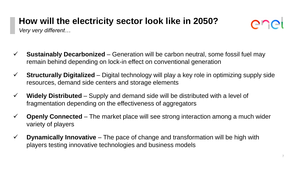## **How will the electricity sector look like in 2050?**

ener

*Very very different…*

- **Sustainably Decarbonized** Generation will be carbon neutral, some fossil fuel may remain behind depending on lock-in effect on conventional generation
- **Structurally Digitalized** Digital technology will play a key role in optimizing supply side resources, demand side centers and storage elements
- **Widely Distributed** Supply and demand side will be distributed with a level of fragmentation depending on the effectiveness of aggregators
- **Openly Connected**  The market place will see strong interaction among a much wider variety of players
- **Dynamically Innovative**  The pace of change and transformation will be high with players testing innovative technologies and business models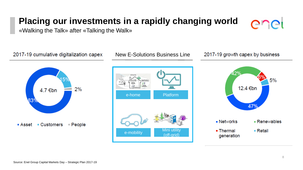### **Placing our investments in a rapidly changing world**



«Walking the Talk» after «Talking the Walk»

2017-19 cumulative digitalization capex



New E-Solutions Business Line



2017-19 growth capex by business

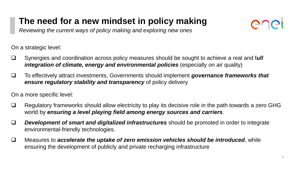## **The need for a new mindset in policy making**

*Reviewing the current ways of policy making and exploring new ones*

On a strategic level:

- Synergies and coordination across policy measures should be sought to achieve a real and f*ull integration of climate, energy and environmental policies* (especially on air quality)
- To effectively attract investments, Governments should implement *governance frameworks that ensure regulatory stability and transparency* of policy delivery

On a more specific level:

- $\Box$  Regulatory frameworks should allow electricity to play its decisive role in the path towards a zero GHG world by *ensuring a level playing field among energy sources and carriers*.
- *Development of smart and digitalized infrastructures* should be promoted in order to integrate environmental-friendly technologies.
- Measures to *accelerate the uptake of zero emission vehicles should be introduced*, while ensuring the development of publicly and private recharging infrastructure